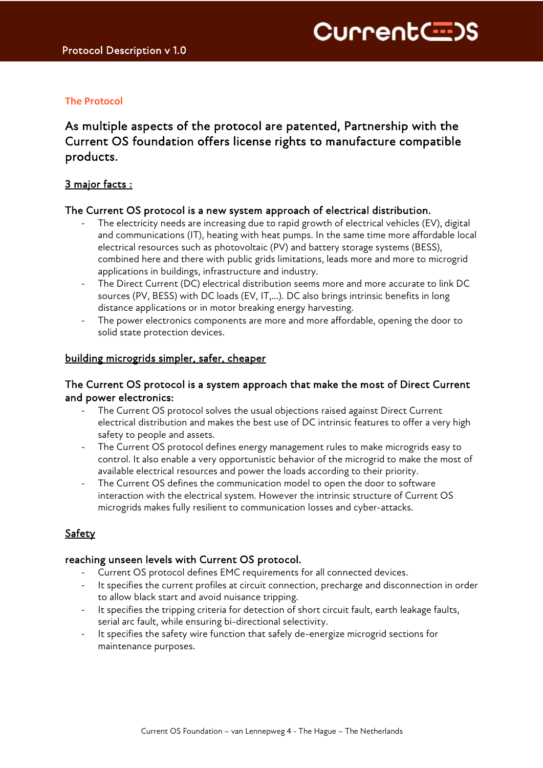# **The Protocol**

# As multiple aspects of the protocol are patented, Partnership with the Current OS foundation offers license rights to manufacture compatible products.

# 3 major facts :

### The Current OS protocol is a new system approach of electrical distribution.

- The electricity needs are increasing due to rapid growth of electrical vehicles (EV), digital and communications (IT), heating with heat pumps. In the same time more affordable local electrical resources such as photovoltaic (PV) and battery storage systems (BESS), combined here and there with public grids limitations, leads more and more to microgrid applications in buildings, infrastructure and industry.
- The Direct Current (DC) electrical distribution seems more and more accurate to link DC sources (PV, BESS) with DC loads (EV, IT,…). DC also brings intrinsic benefits in long distance applications or in motor breaking energy harvesting.
- The power electronics components are more and more affordable, opening the door to solid state protection devices.

### building microgrids simpler, safer, cheaper

### The Current OS protocol is a system approach that make the most of Direct Current and power electronics:

- The Current OS protocol solves the usual objections raised against Direct Current electrical distribution and makes the best use of DC intrinsic features to offer a very high safety to people and assets.
- The Current OS protocol defines energy management rules to make microgrids easy to control. It also enable a very opportunistic behavior of the microgrid to make the most of available electrical resources and power the loads according to their priority.
- The Current OS defines the communication model to open the door to software interaction with the electrical system. However the intrinsic structure of Current OS microgrids makes fully resilient to communication losses and cyber-attacks.

# Safety

#### reaching unseen levels with Current OS protocol.

- Current OS protocol defines EMC requirements for all connected devices.
- It specifies the current profiles at circuit connection, precharge and disconnection in order to allow black start and avoid nuisance tripping.
- It specifies the tripping criteria for detection of short circuit fault, earth leakage faults, serial arc fault, while ensuring bi-directional selectivity.
- It specifies the safety wire function that safely de-energize microgrid sections for maintenance purposes.